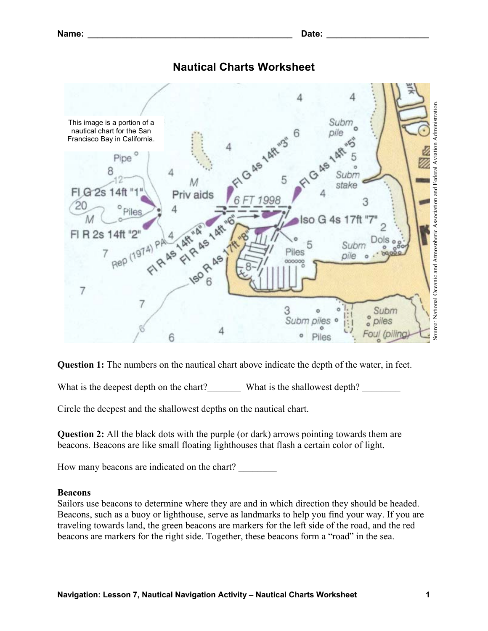## **Nautical Charts Worksheet**



**Question 1:** The numbers on the nautical chart above indicate the depth of the water, in feet.

What is the deepest depth on the chart?\_\_\_\_\_\_\_\_\_\_ What is the shallowest depth?

Circle the deepest and the shallowest depths on the nautical chart.

**Question 2:** All the black dots with the purple (or dark) arrows pointing towards them are beacons. Beacons are like small floating lighthouses that flash a certain color of light.

How many beacons are indicated on the chart?

## **Beacons**

Sailors use beacons to determine where they are and in which direction they should be headed. Beacons, such as a buoy or lighthouse, serve as landmarks to help you find your way. If you are traveling towards land, the green beacons are markers for the left side of the road, and the red beacons are markers for the right side. Together, these beacons form a "road" in the sea.